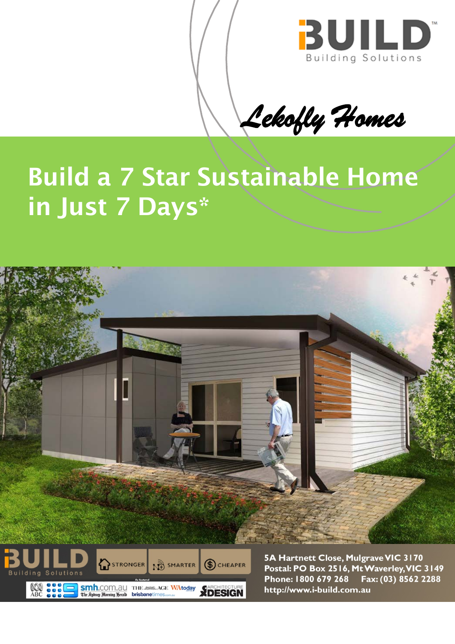

Lekofly Homes

# **Build a 7 Star Sustainable Home** in Just 7 Days\*





5A Hartnett Close, Mulgrave VIC 3170 Postal: PO Box 2516, Mt Waverley, VIC 3149 Phone: 1800 679 268 Fax: (03) 8562 2288 http://www.i-build.com.au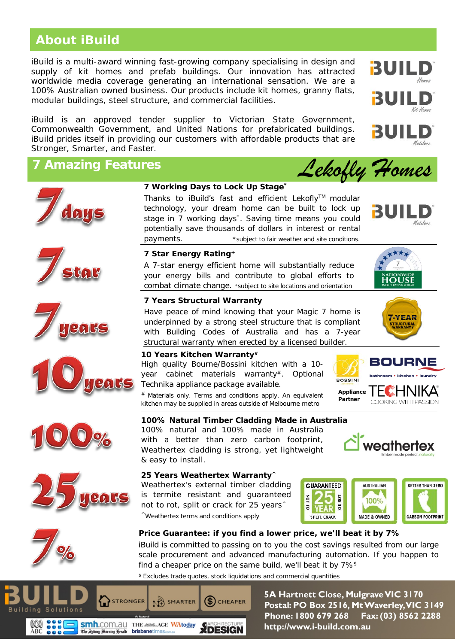## **About iBuild**

iBuild is a multi-award winning fast-growing company specialising in design and supply of kit homes and prefab buildings. Our innovation has attracted worldwide media coverage generating an international sensation. We are a 100% Australian owned business. Our products include kit homes, granny flats, modular buildings, steel structure, and commercial facilities.

iBuild is an approved tender supplier to Victorian State Government, Commonwealth Government, and United Nations for prefabricated buildings. iBuild prides itself in providing our customers with affordable products that are Stronger, Smarter, and Faster.

## **7 Amazing Features**















### **7 Working Days to Lock Up Stage\***

Thanks to iBuild's fast and efficient Lekofly™ modular technology, your dream home can be built to lock up stage in 7 working days\*. Saving time means you could potentially save thousands of dollars in interest or rental payments.  $*$ subject to fair weather and site conditions.



A 7-star energy efficient home will substantially reduce your energy bills and contribute to global efforts to combat climate change. +subject to site locations and orientation

### **7 Years Structural Warranty**

Have peace of mind knowing that your Magic 7 home is underpinned by a strong steel structure that is compliant with Building Codes of Australia and has a 7-year structural warranty when erected by a licensed builder.

#### **10 Years Kitchen Warranty#**

High quality Bourne/Bossini kitchen with a 10 year cabinet materials warranty#. Optional Technika appliance package available.

Materials only. Terms and conditions apply. An equivalent kitchen may be supplied in areas outside of Melbourne metro

**100% Natural Timber Cladding Made in Australia**

100% natural and 100% made in Australia with a better than zero carbon footprint, Weathertex cladding is strong, yet lightweight & easy to install.

#### **25 Years Weathertex Warranty^**

Weathertex's external timber cladding is termite resistant and guaranteed not to rot, split or crack for 25 years<sup> $\wedge$ </sup> ^Weathertex terms and conditions apply



## **Price Guarantee: if you find a lower price, we'll beat it by 7%**

iBuild is committed to passing on to you the cost savings resulted from our large scale procurement and advanced manufacturing automation. If you happen to find a cheaper price on the same build, we'll beat it by 7%\$

\$ Excludes trade quotes, stock liquidations and commercial quantities



5A Hartnett Close, Mulgrave VIC 3170 Postal: PO Box 2516, Mt Waverley, VIC 3149 Phone: 1800 679 268 Fax: (03) 8562 2288 http://www.i-build.com.au



**Appliance Partner**

**BOSSIN** 



*Lekofly Homes*

BUIII



⊮HNIKA COOKING WITH PASSION

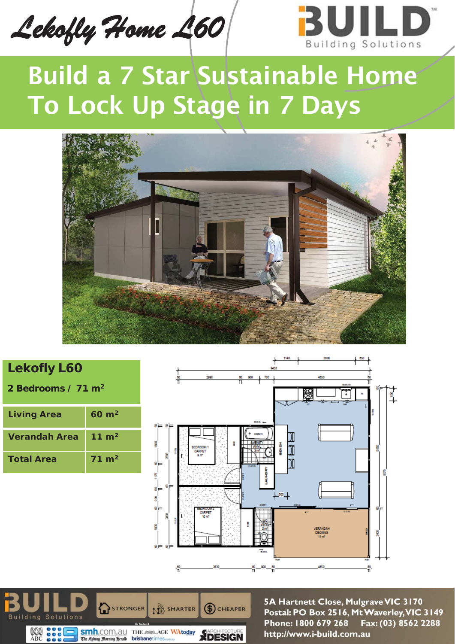*Lekofly Home L60* 



# Build a 7 Star Sustainable Home To Lock Up Stage in 7 Days



# **Lekofly L60**

**2 Bedrooms / 71 m2**

| <b>Living Area</b>   | $60 \; \mathrm{m}^2$ |
|----------------------|----------------------|
| <b>Verandah Area</b> | 11 $m2$              |
| <b>Total Area</b>    | $71 \; \mathrm{m}^2$ |





5A Hartnett Close, Mulgrave VIC 3170 Postal: PO Box 2516, Mt Waverley, VIC 3149 Phone: 1800 679 268 Fax: (03) 8562 2288 http://www.i-build.com.au